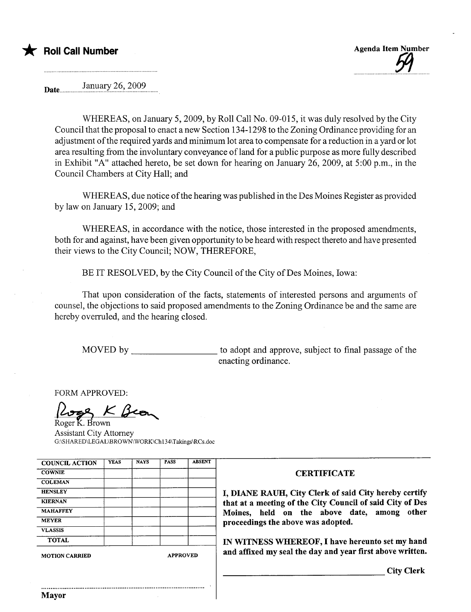



Date... ......... !.~i:i:c:ry.??.'.?. 99?.... ...

WHEREAS, on January 5,2009, by Roll Call No. 09-015, it was duly resolved by the City Council that the proposal to enact a new Section 134-1298 to the Zoning Ordinance providing for an adjustment of the required yards and minimum lot area to compensate for a reduction in a yard or lot area resulting from the involuntary conveyance of land for a public purpose as more fully described in Exhibit "A" attached hereto, be set down for hearing on January 26,2009, at 5:00 p.m., in the Council Chambers at City Hall; and

WHEREAS, due notice of the hearing was published in the Des Moines Register as provided by law on January 15, 2009; and

WHEREAS, in accordance with the notice, those interested in the proposed amendments, both for and against, have been given opportunity to be heard with respect thereto and have presented their views to the City Council; NOW, THEREFORE,

BE IT RESOLVED, by the City Council of the City of Des Moines, Iowa:

That upon consideration of the facts, statements of interested persons and arguments of counsel, the objections to said proposed amendments to the Zoning Ordinance be and the same are hereby overruled, and the hearing closed.

MOVED by to adopt and approve, subject to final passage of the enacting ordinance.

FORM APPROVED:

Roger K. Brown

Assistant City Attorney G:\SHARED\LEGAL\BROWN\WORK\Ch134\Takings\RCs.doc

| <b>COUNCIL ACTION</b> | <b>YEAS</b> | <b>NAYS</b>     | <b>PASS</b> | <b>ABSENT</b> |
|-----------------------|-------------|-----------------|-------------|---------------|
| <b>COWNIE</b>         |             |                 |             |               |
| <b>COLEMAN</b>        |             |                 |             |               |
| <b>HENSLEY</b>        |             |                 |             |               |
| <b>KIERNAN</b>        |             |                 |             |               |
| <b>MAHAFFEY</b>       |             |                 |             |               |
| <b>MEYER</b>          |             |                 |             |               |
| <b>VLASSIS</b>        |             |                 |             |               |
| <b>TOTAL</b>          |             |                 |             |               |
| <b>MOTION CARRIED</b> |             | <b>APPROVED</b> |             |               |

#### **CERTIFICATE**

I, DIANE RAUH, City Clerk of said City hereby certify that at a meeting of the City Council of said City of Des Moines, held on the above date, among other proceedings the above was adopted.

IN WITNESS WHEREOF, I have hereunto set my hand and affixed my seal the day and year first above written.

City Clerk

..........................................................................................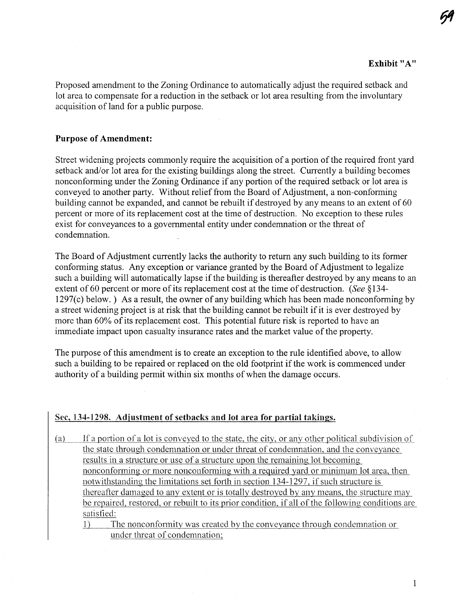**59** 

Proposed amendment to the Zoning Ordinance to automatically adjust the required setback and lot area to compensate for a reduction in the setback or lot area resulting from the involuntary acquisition of land for a public purpose.

#### Purpose of Amendment:

Street widening projects commonly require the acquisition of a portion of the required front yard setback and/or lot area for the existing buildings along the street. Currently a building becomes nonconforming under the Zoning Ordinance if any portion of the required setback or lot area is conveyed to another party. Without relief from the Board of Adjustment, a non-conforming building cannot be expanded, and cannot be rebuilt if destroyed by any means to an extent of 60 percent or more of its replacement cost at the time of destruction. No exception to these rules exist for conveyances to a governmental entity under condemnation or the threat of condemnation.

The Board of Adjustment currently lacks the authority to return any such building to its former conforming status. Any exception or variance granted by the Board of Adjustment to legalize such a building will automatically lapse if the building is thereafter destroyed by any means to an extent of 60 percent or more of its replacement cost at the time of destruction. (See §134- $1297(c)$  below.) As a result, the owner of any building which has been made nonconforming by a street widening project is at risk that the building cannot be rebuilt if it is ever destroyed by more than 60% of its replacement cost. This potential future risk is reported to have an immediate impact upon casualty insurance rates and the market value of the property.

The purpose of this amendment is to create an exception to the rule identified above, to allow such a building to be repaired or replaced on the old footprint if the work is commenced under authority of a building permit within six months of when the damage occurs.

### See, 134-1298. Adjustment of setbacks and lot area for partial takings.

(a) If a portion of a lot is conveyed to the state. the city. or any other political subdivision of the state through condemnation or under threat of condemnation. and the conveyance results in a structure or use of a structure upon the remaining lot becoming nonconforming or more nonconforming with a required yard or minimum lot area, then notwithstanding the limitations set forth in section 134-1297, if such structure is thereafter damaged to any extent or is totally destroyed by any means, the structure may be repaired, restored, or rebuilt to its prior condition, if all of the following conditions are satisfied:

1) The nonconfonnitv was created bv the convevance through condemnation or under threat of condemnation: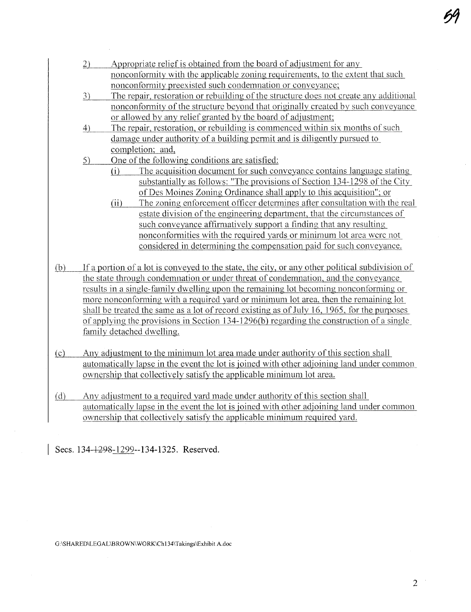- 2) Appropriate relief is obtained from the board of adjustment for any nonconformitv with the applicable zoning requirements. to the extent that such nonconformity preexisted such condemnation or conveyance;
- 3) The repair, restoration or rebuilding of the structure does not create any additional nonconfonnity of the structure beyond that originally created bv such conveyance or allowed bv any relief granted bv the board of adjustment;
- 4) The repair. restoration, or rebuilding is commenced within six months of sach damage under authority of a building pennit and is diligently pursued to completion; and.
- 5) One of the following conditions are satisfied:
	- (i) The acquisition document for such conveyanee contains language stating substantially as follows: "The provisions of Section 134-1298 of the City of Des Moines Zoning Ordinance shall apply to this acquisition": or
	- (ii) The zoning enforcement officer determines after consultation with the real estate division of the engineering department, that the circumstances of such conveyance affirmatively support a finding that any resulting nonconformities with the required yards or minimum lot area were not considered in determining the compensation paid for such conveyance.
- $(b)$  If a portion of a lot is conveyed to the state, the city, or any other political subdivision of the state through condemnation or under threat of condemnation, and the conveyance results in a single-family dwellng upon the remaining lot becoming nonconforming or more nonconforming with a required yard or minimum lot area. then the remaining lot shall be treated the same as a lot of record existing as of July 16, 1965, for the purposes of applying the provisions in Section 134-1296(b) regarding the construction of a single family detached dwelling.
- $(c)$  Any adjustment to the minimum lot area made under authority of this section shall automaticallv lapse in the event the lot is joined with other adjoining land under common ownership that collectively satisfy the applicable minimum lot area.
- (d) Any adjustment to a required yard made under authority of this section shall automatically lapse in the event the lot is joined with other adjoining land under common ownership that collectively satisfy the applicable minimum required yard.

Secs. 134-1298-1299--134-1325. Reserved.

G:\SHARED\LEGAL\BROWN\WORK\Ch134\Takings\Exhibit A.doc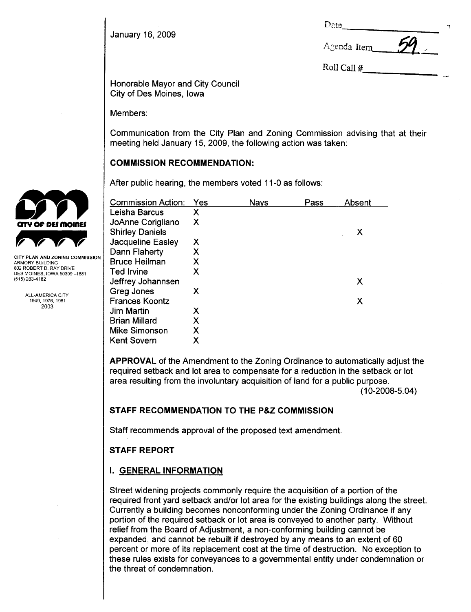January 16, 2009

| Date | ~ |
|------|---|
|      |   |

 $A$ genda Item  $A$ 

Roll Call #

Honorable Mayor and City Council City of Des Moines, Iowa

Members:

Communication from the City Plan and Zoning Commission advising that at their meeting held January 15, 2009, the following action was taken:

# COMMISSION RECOMMENDATION:

After public hearing, the members voted 11-0 as follows:

| <b>Commission Action:</b> | Yes | Nays | Pass | Absent |
|---------------------------|-----|------|------|--------|
| Leisha Barcus             | Χ   |      |      |        |
| JoAnne Corigliano         | Х   |      |      |        |
| <b>Shirley Daniels</b>    |     |      |      | Х      |
| Jacqueline Easley         | Х   |      |      |        |
| Dann Flaherty             | Χ   |      |      |        |
| <b>Bruce Heilman</b>      | х   |      |      |        |
| <b>Ted Irvine</b>         | Х   |      |      |        |
| Jeffrey Johannsen         |     |      |      | Х      |
| Greg Jones                | Х   |      |      |        |
| <b>Frances Koontz</b>     |     |      |      | Х      |
| Jim Martin                | х   |      |      |        |
| <b>Brian Millard</b>      | Χ   |      |      |        |
| Mike Simonson             | Χ   |      |      |        |
| <b>Kent Sovern</b>        | Χ   |      |      |        |

APPROVAL of the Amendment to the Zoning Ordinance to automatically adjust the required setback and lot area to compensate for a reduction in the setback or lot area resulting from the involuntary acquisition of land for a public purpose. (10-2008-5.04)

# STAFF RECOMMENDATION TO THE P&Z COMMISSION

Staff recommends approval of the proposed text amendment.

# STAFF REPORT

# i. GENERAL INFORMATION

Street widening projects commonly require the acquisition of a portion of the required front yard setback and/or lot area for the existing buildings along the street. Currently a building becomes nonconforming under the Zoning Ordinance if any portion of the required setback or lot area is conveyed to another party. Without relief from the Board of Adjustment, a non-conforming building cannot be expanded, and cannot be rebuilt if destroyed by any means to an extent of 60 percent or more of its replacement cost at the time of destruction. No exception to these rules exists for conveyances to a governmental entity under condemnation or the threat of condemnation.



Y PLAN AND ZONING COMMISSION ARMORY BUILDING 602 ROBERT D. RAY DRIVE DES MOINES, IOWA 50309-1881 (515) 283-4182

> ALL-AMERICA CITY 1949,1976,1981 2003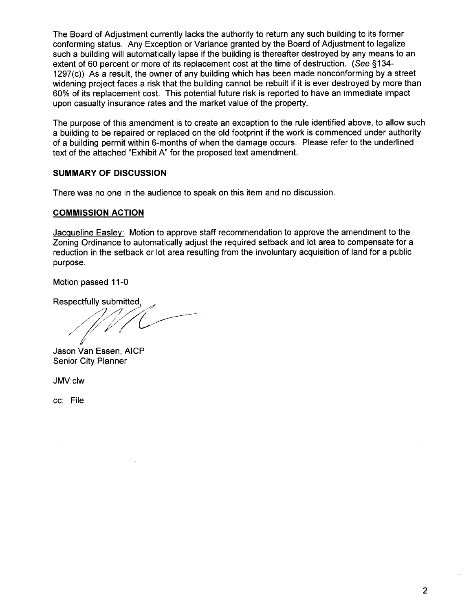The Board of Adjustment currently lacks the authority to return any such building to its former conforming status. Any Exception or Variance granted by the Board of Adjustment to legalize such a building will automatically lapse if the building is thereafter destroyed by any means to an extent of 60 percent or more of its replacement cost at the time of destruction. (See §134-1297(c)) As a result, the owner of any building which has been made nonconforming by a street widening project faces a risk that the building cannot be rebuilt if it is ever destroyed by more than 60% of its replacement cost. This potential future risk is reported to have an immediate impact upon casualty insurance rates and the market value of the property.

The purpose of this amendment is to create an exception to the rule identified above, to allow such a building to be repaired or replaced on the old footprint if the work is commenced under authority of a building permit within 6-months of when the damage occurs. Please refer to the underlined text of the attached "Exhibit A" for the proposed text amendment.

## SUMMARY OF DISCUSSION

There was no one in the audience to speak on this item and no discussion.

### COMMISSION ACTION

Jacqueline Easley: Motion to approve staff recommendation to approve the amendment to the Zoning Ordinance to automatically adjust the required setback and lot area to compensate for a reduction in the setback or lot area resulting from the involuntary acquisition of land for a public purpose.

Motion passed 11-0

Respectfully submitted,

Jason Van Essen, AICP Senior City Planner

JMV:c1w

cc: File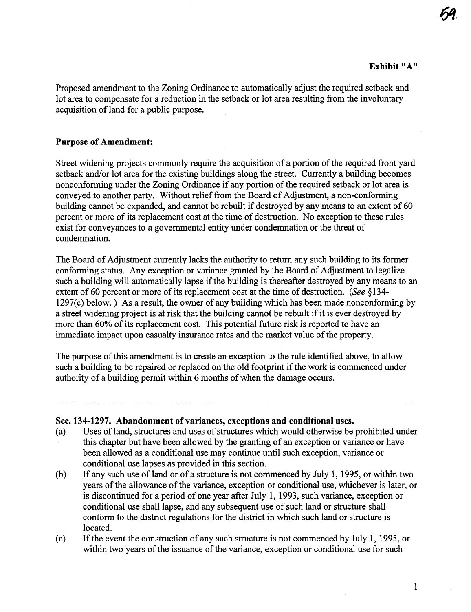54

Proposed amendment to the Zoning Ordinance to automatically adjust the required setback and lot area to compensate for a reduction in the setback or lot area resulting from the involuntary acquisition of land for a public purose.

### Purpose of Amendment:

Street widening projects commonly require the acquisition of a portion of the required front yard setback and/or lot area for the existing buildings along the street. Curently a building becomes nonconforming under the Zoning Ordinance if any portion of the required setback or lot area is conveyed to another party. Without relief from the Board of Adjustment, a non-conforming building cannot be expanded, and cannot be rebuilt if destroyed by any means to an extent of 60 percent or more of its replacement cost at the time of destruction. No exception to these rules exist for conveyances to a governmental entity under condemnation or the threat of condemnation.

The Board of Adjustment currently lacks the authority to return any such building to its former conforming status. Any exception or variance granted by the Board of Adjustment to legalize such a building will automatically lapse if the building is thereafter destroyed by any means to an extent of 60 percent or more of its replacement cost at the time of destruction. (See  $§134-$ 1297(c) below.) As a result, the owner of any building which has been made nonconforming by a street widening project is at risk that the building canot be rebuilt if it is ever destroyed by more than 60% of its replacement cost. This potential futue risk is reported to have an immediate impact upon casualty insurance rates and the market value of the property.

The purpose of this amendment is to create an exception to the rule identified above, to allow such a building to be repaired or replaced on the old footprint if the work is commenced under authority of a building permit withn 6 months of when the damage occurs.

#### Sec. 134-1297. Abandonment of variances, exceptions and conditional uses.

- (a) Uses of land, structures and uses of structures which would otherwise be prohibited under this chapter but have been allowed by the granting of an exception or varance or have been allowed as a conditional use may continue until such exception, variance or conditional use lapses as provided in ths section.
- (b) If any such use of land or of a structure is not commenced by July 1, 1995, or within two years of the allowance of the varance, exception or conditional use, whichever is later, or is discontinued for a period of one year after July 1, 1993, such varance, exception or conditional use shall lapse, and any subsequent use of such land or structure shall conform to the district regulations for the district in which such land or structure is located.
- (c) If the event the construction of any such structue is not commenced by July 1, 1995, or within two years of the issuance of the variance, exception or conditional use for such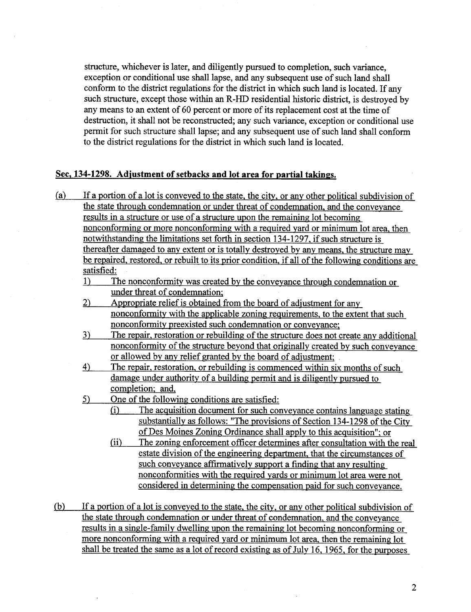structure, whichever is later, and diligently pursued to completion, such variance, exception or conditional use shall lapse, and any subsequent use of such land shall conform to the district regulations for the district in which such land is located. If any such structure, except those within an R-HD residential historic district, is destroyed by any means to an extent of 60 percent or more of its replacement cost at the time of destruction, it shall not be reconstructed; any such variance, exception or conditional use permit for such structue shall lapse; and any subsequent use of such land shall conform to the district regulations for the district in which such land is located.

### Sec. 134-1298. Adjustment of setbacks and lot area for partial takings.

- (a) If a portion of a lot is conveyed to the state. the city. or any other political subdivision of the state through condemnation or under threat of condemnation, and the conveyance results in a structue or use of a structure upon the remaining lot becoming nonconforming or more nonconforming with a required yard or minimum lot area. then notwithstanding the limitations set forth in section 134-1297, if such structure is thereafter damaged to any extent or is totally destroyed by any means, the structure may be repaired. restored, or rebuilt to its prior condition. if all of the following conditions are satisfied:
	- 1) The nonconformity was created by the conveyance through condemnation or under threat of condemnation:
	- 2) Appropriate relief is obtained from the board of adjustment for any nonconformty with the applicable zoning requirements. to the extent that such nonconformity preexisted such condemnation or conveyance:
	- 3) The repair, restoration or rebuilding of the structure does not create any additional nonconformity of the structure beyond that originally created by such conveyance or allowed by any relief granted by the board of adjustment:
	- 4) The repair, restoration. or rebuilding is commenced within six months of such damage under authority of a building permit and is diligently pursued to completion: and.
	- 5) One of the following conditions are satisfied:
		- (i) The acquisition document for such conveyance contains language stating substantially as follows: "The provisions of Section 134-1298 of the City of Des Moines Zoning Ordinance shall apply to ths acquisition"; or
		- (ii) The zoning enforcement officer determines after consultation with the real estate division of the engineering department, that the circumstances of such conveyance affrmatively support a finding that any resulting nonconformities with the required yards or minimum lot area were not considered in determining the compensation paid for such conveyance.
- (b) If a portion of a lot is conveyed to the state. the city. or any other political subdivision of the state through condemnation or under threat of condemnation, and the conveyance results in a single-family dwelling upon the remaining lot becoming nonconforming or more nonconforming with a required yard or minimum lot area. then the remaining lot shall be treated the same as a lot of record existing as of July 16, 1965, for the purposes